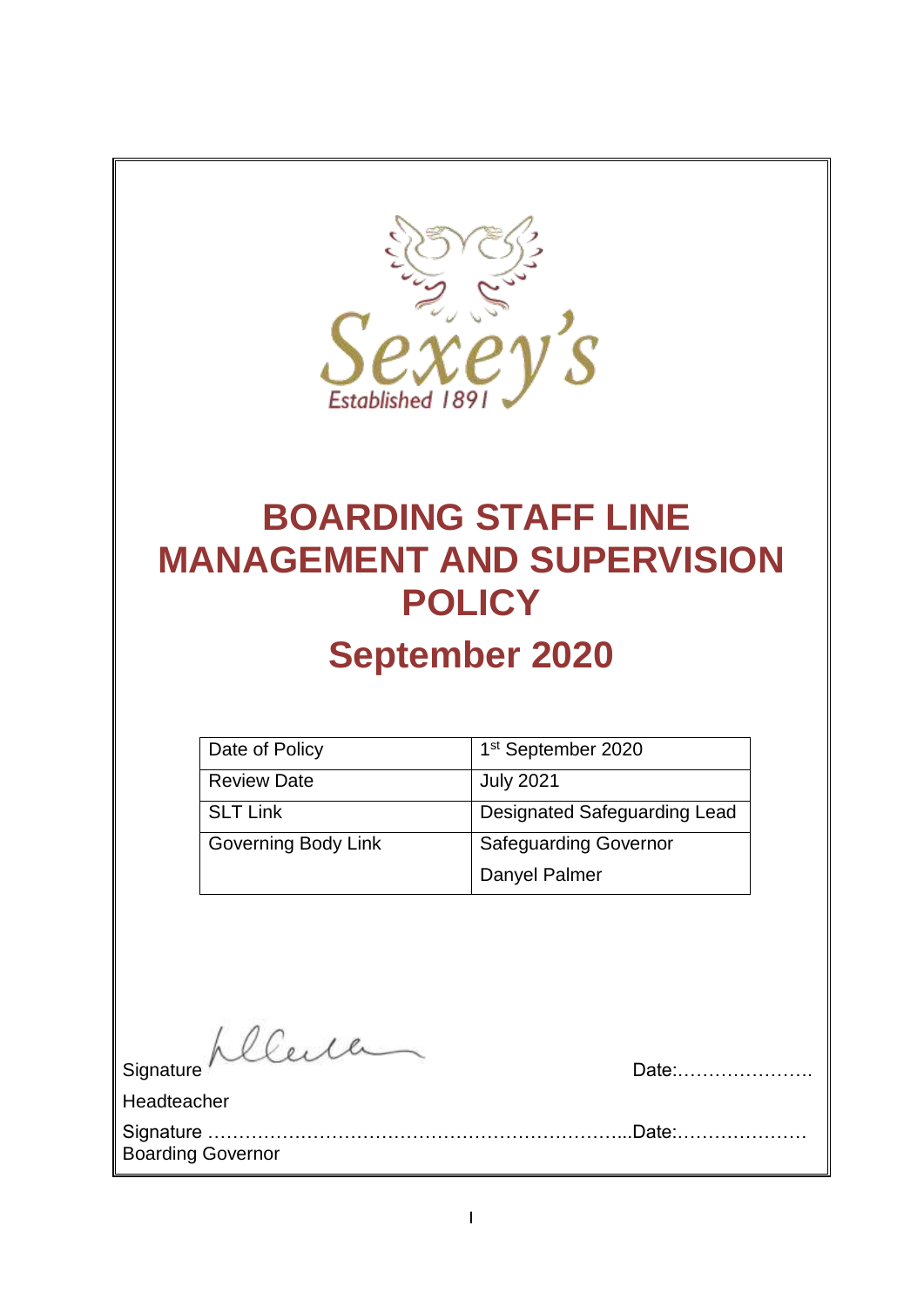

# **BOARDING STAFF LINE MANAGEMENT AND SUPERVISION POLICY September 2020**

| Date of Policy             | 1 <sup>st</sup> September 2020 |
|----------------------------|--------------------------------|
| <b>Review Date</b>         | <b>July 2021</b>               |
| <b>SLT Link</b>            | Designated Safeguarding Lead   |
| <b>Governing Body Link</b> | <b>Safeguarding Governor</b>   |
|                            | Danyel Palmer                  |

Signature Allerland

Headteacher

Signature …………………………………………………………...Date:………………… Boarding Governor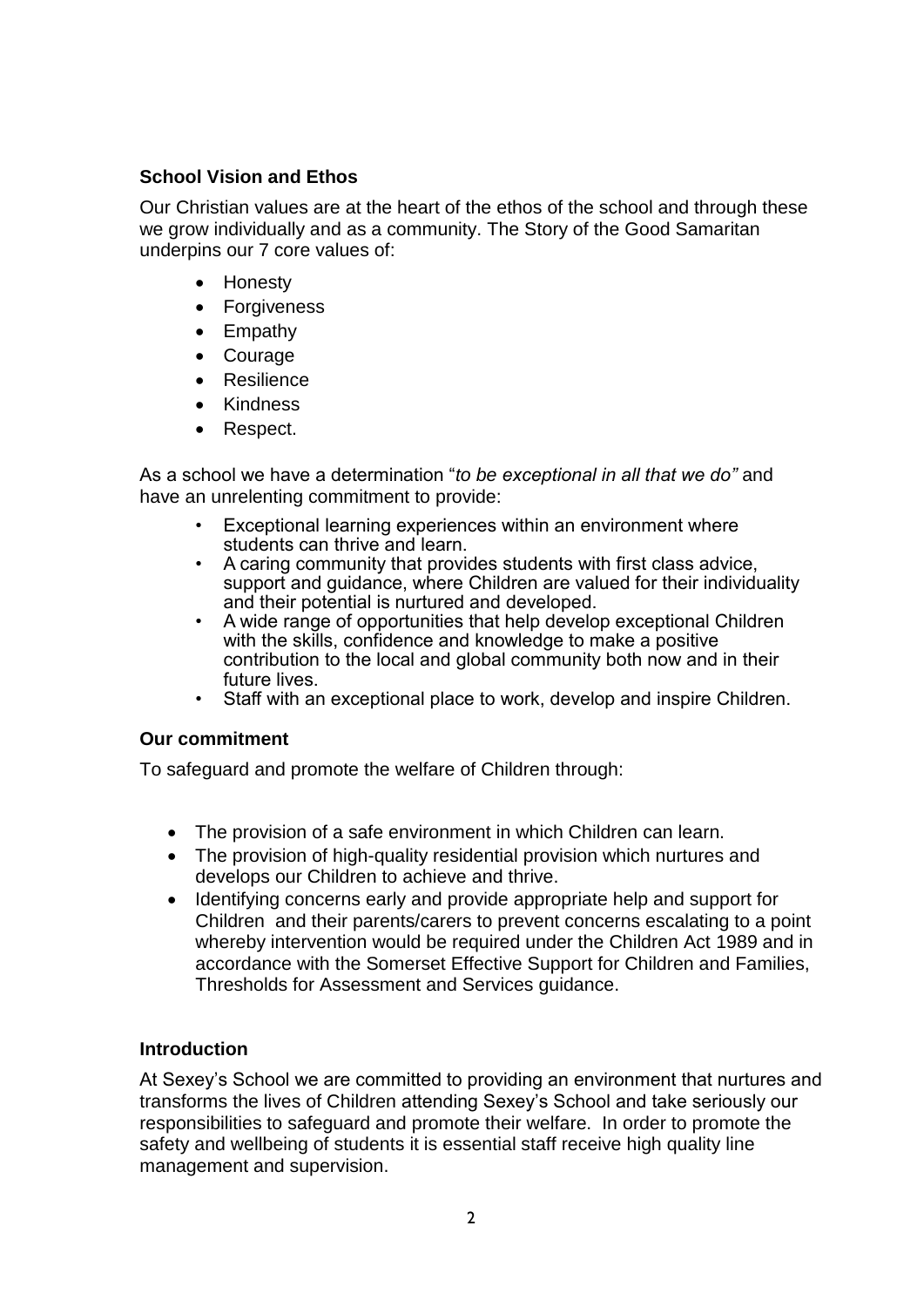#### **School Vision and Ethos**

Our Christian values are at the heart of the ethos of the school and through these we grow individually and as a community. The Story of the Good Samaritan underpins our 7 core values of:

- Honesty
- Forgiveness
- Empathy
- Courage
- Resilience
- Kindness
- Respect.

As a school we have a determination "*to be exceptional in all that we do"* and have an unrelenting commitment to provide:

- Exceptional learning experiences within an environment where students can thrive and learn.
- A caring community that provides students with first class advice, support and guidance, where Children are valued for their individuality and their potential is nurtured and developed.
- A wide range of opportunities that help develop exceptional Children with the skills, confidence and knowledge to make a positive contribution to the local and global community both now and in their future lives.
- Staff with an exceptional place to work, develop and inspire Children.

#### **Our commitment**

To safeguard and promote the welfare of Children through:

- The provision of a safe environment in which Children can learn.
- The provision of high-quality residential provision which nurtures and develops our Children to achieve and thrive.
- Identifying concerns early and provide appropriate help and support for Children and their parents/carers to prevent concerns escalating to a point whereby intervention would be required under the Children Act 1989 and in accordance with the Somerset Effective Support for Children and Families, Thresholds for Assessment and Services guidance.

#### **Introduction**

At Sexey's School we are committed to providing an environment that nurtures and transforms the lives of Children attending Sexey's School and take seriously our responsibilities to safeguard and promote their welfare. In order to promote the safety and wellbeing of students it is essential staff receive high quality line management and supervision.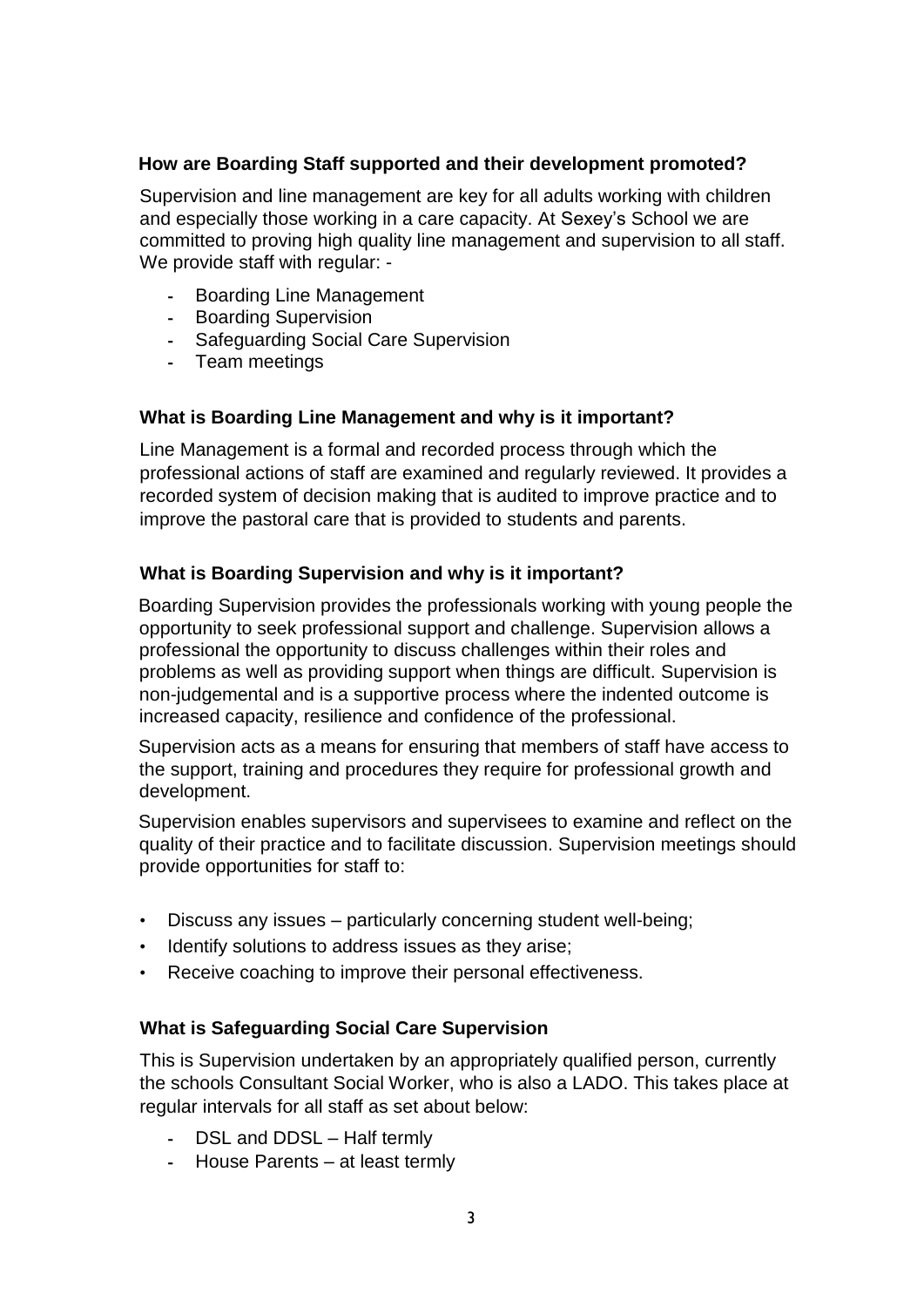#### **How are Boarding Staff supported and their development promoted?**

Supervision and line management are key for all adults working with children and especially those working in a care capacity. At Sexey's School we are committed to proving high quality line management and supervision to all staff. We provide staff with regular: -

- Boarding Line Management
- Boarding Supervision
- Safeguarding Social Care Supervision
- Team meetings

#### **What is Boarding Line Management and why is it important?**

Line Management is a formal and recorded process through which the professional actions of staff are examined and regularly reviewed. It provides a recorded system of decision making that is audited to improve practice and to improve the pastoral care that is provided to students and parents.

#### **What is Boarding Supervision and why is it important?**

Boarding Supervision provides the professionals working with young people the opportunity to seek professional support and challenge. Supervision allows a professional the opportunity to discuss challenges within their roles and problems as well as providing support when things are difficult. Supervision is non-judgemental and is a supportive process where the indented outcome is increased capacity, resilience and confidence of the professional.

Supervision acts as a means for ensuring that members of staff have access to the support, training and procedures they require for professional growth and development.

Supervision enables supervisors and supervisees to examine and reflect on the quality of their practice and to facilitate discussion. Supervision meetings should provide opportunities for staff to:

- Discuss any issues particularly concerning student well-being;
- Identify solutions to address issues as they arise;
- Receive coaching to improve their personal effectiveness.

#### **What is Safeguarding Social Care Supervision**

This is Supervision undertaken by an appropriately qualified person, currently the schools Consultant Social Worker, who is also a LADO. This takes place at regular intervals for all staff as set about below:

- DSL and DDSL Half termly
- House Parents at least termly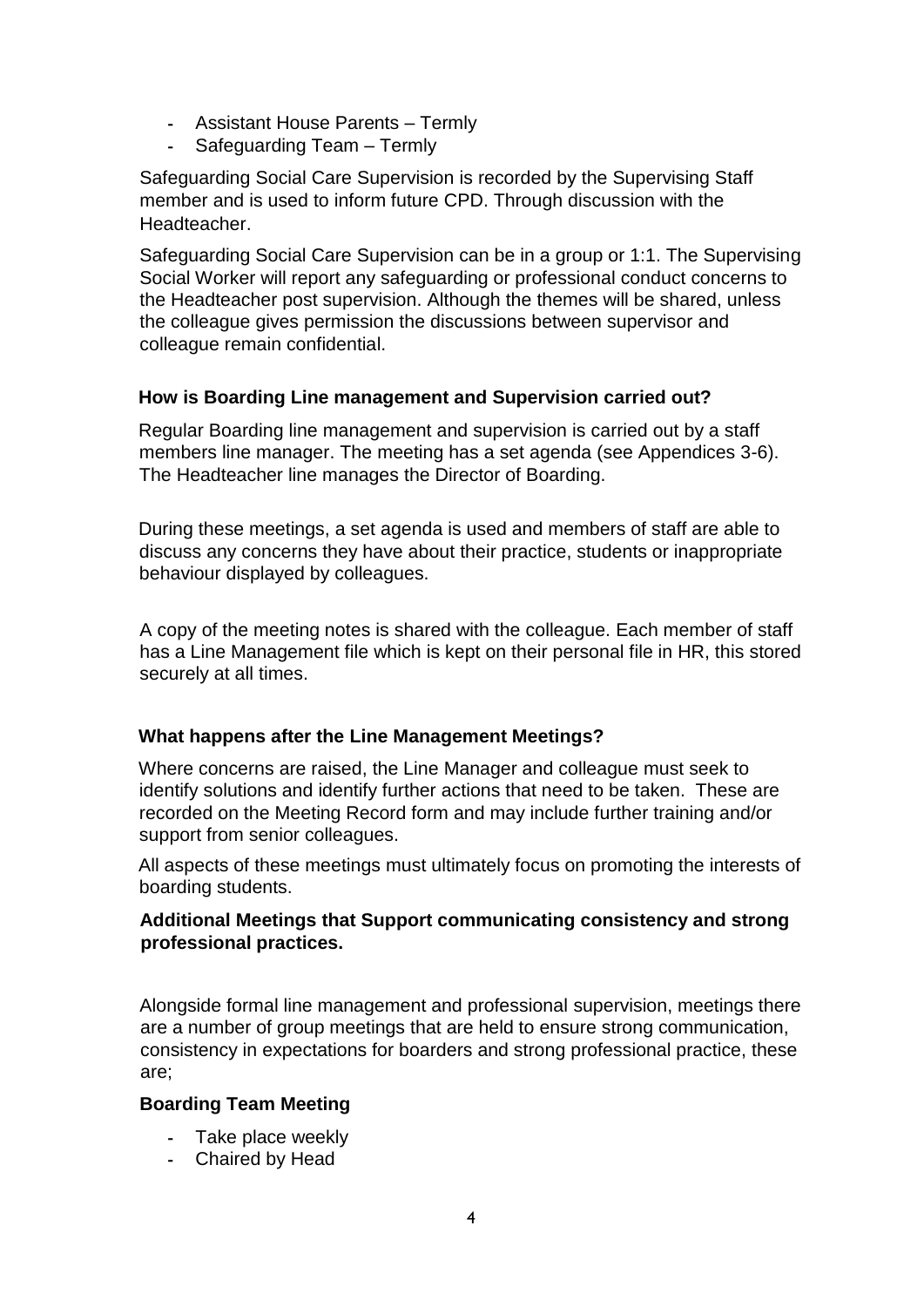- Assistant House Parents Termly
- Safeguarding Team Termly

Safeguarding Social Care Supervision is recorded by the Supervising Staff member and is used to inform future CPD. Through discussion with the Headteacher.

Safeguarding Social Care Supervision can be in a group or 1:1. The Supervising Social Worker will report any safeguarding or professional conduct concerns to the Headteacher post supervision. Although the themes will be shared, unless the colleague gives permission the discussions between supervisor and colleague remain confidential.

#### **How is Boarding Line management and Supervision carried out?**

Regular Boarding line management and supervision is carried out by a staff members line manager. The meeting has a set agenda (see Appendices 3-6). The Headteacher line manages the Director of Boarding.

During these meetings, a set agenda is used and members of staff are able to discuss any concerns they have about their practice, students or inappropriate behaviour displayed by colleagues.

A copy of the meeting notes is shared with the colleague. Each member of staff has a Line Management file which is kept on their personal file in HR, this stored securely at all times.

#### **What happens after the Line Management Meetings?**

Where concerns are raised, the Line Manager and colleague must seek to identify solutions and identify further actions that need to be taken. These are recorded on the Meeting Record form and may include further training and/or support from senior colleagues.

All aspects of these meetings must ultimately focus on promoting the interests of boarding students.

#### **Additional Meetings that Support communicating consistency and strong professional practices.**

Alongside formal line management and professional supervision, meetings there are a number of group meetings that are held to ensure strong communication, consistency in expectations for boarders and strong professional practice, these are;

#### **Boarding Team Meeting**

- Take place weekly
- Chaired by Head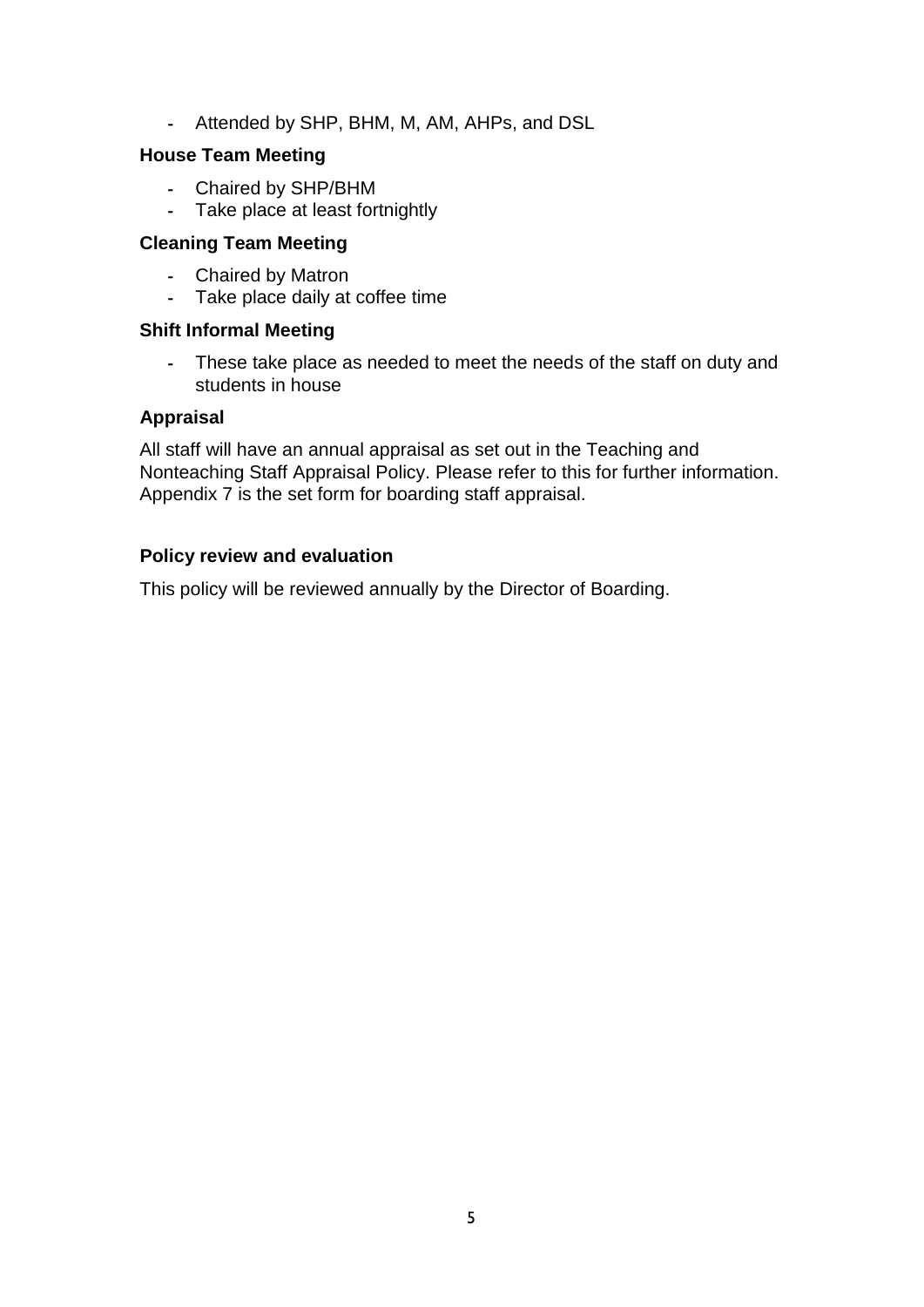- Attended by SHP, BHM, M, AM, AHPs, and DSL

#### **House Team Meeting**

- Chaired by SHP/BHM
- Take place at least fortnightly

#### **Cleaning Team Meeting**

- Chaired by Matron
- Take place daily at coffee time

#### **Shift Informal Meeting**

- These take place as needed to meet the needs of the staff on duty and students in house

#### **Appraisal**

All staff will have an annual appraisal as set out in the Teaching and Nonteaching Staff Appraisal Policy. Please refer to this for further information. Appendix 7 is the set form for boarding staff appraisal.

#### **Policy review and evaluation**

This policy will be reviewed annually by the Director of Boarding.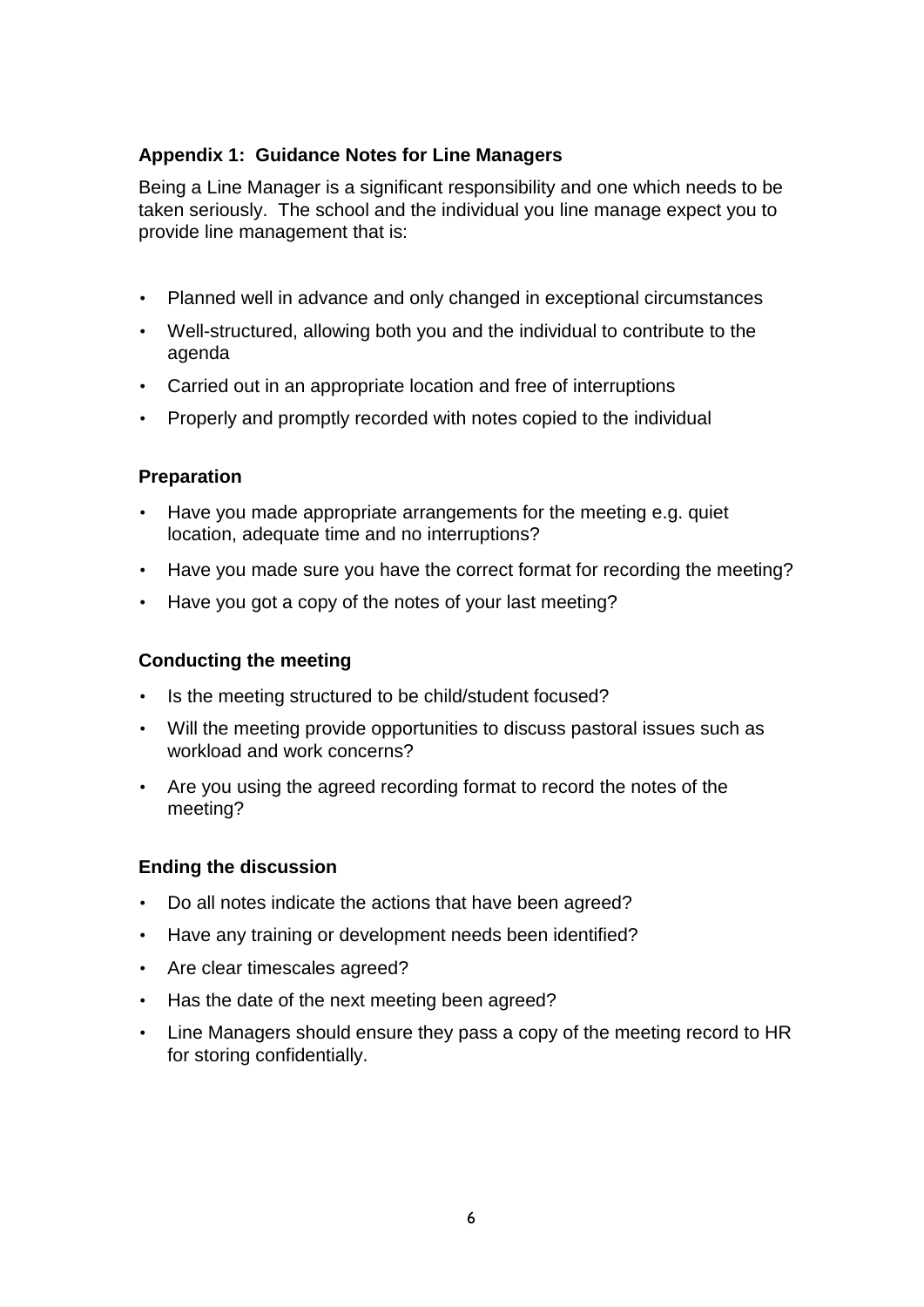#### **Appendix 1: Guidance Notes for Line Managers**

Being a Line Manager is a significant responsibility and one which needs to be taken seriously. The school and the individual you line manage expect you to provide line management that is:

- Planned well in advance and only changed in exceptional circumstances
- Well-structured, allowing both you and the individual to contribute to the agenda
- Carried out in an appropriate location and free of interruptions
- Properly and promptly recorded with notes copied to the individual

#### **Preparation**

- Have you made appropriate arrangements for the meeting e.g. quiet location, adequate time and no interruptions?
- Have you made sure you have the correct format for recording the meeting?
- Have you got a copy of the notes of your last meeting?

#### **Conducting the meeting**

- Is the meeting structured to be child/student focused?
- Will the meeting provide opportunities to discuss pastoral issues such as workload and work concerns?
- Are you using the agreed recording format to record the notes of the meeting?

#### **Ending the discussion**

- Do all notes indicate the actions that have been agreed?
- Have any training or development needs been identified?
- Are clear timescales agreed?
- Has the date of the next meeting been agreed?
- Line Managers should ensure they pass a copy of the meeting record to HR for storing confidentially.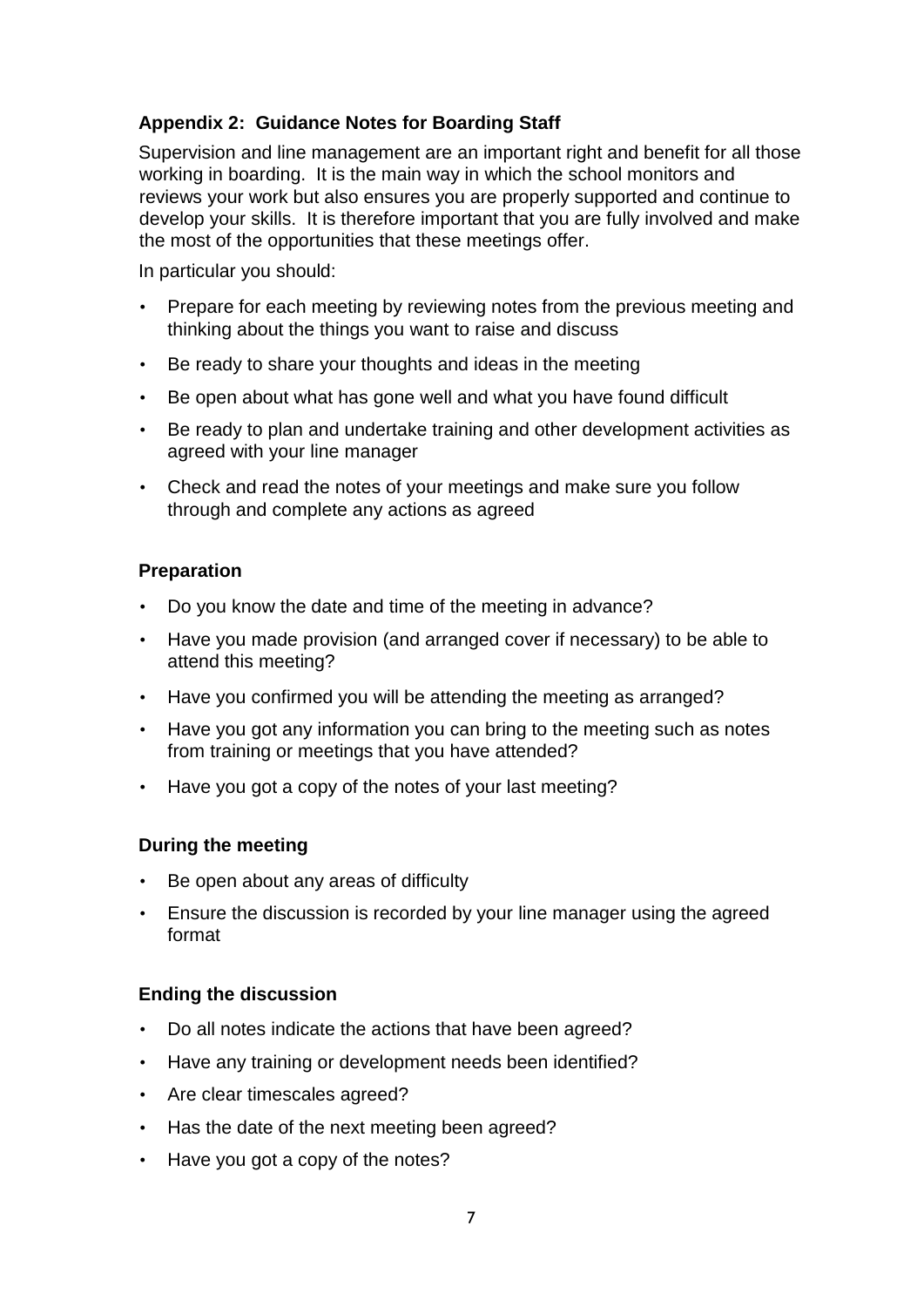#### **Appendix 2: Guidance Notes for Boarding Staff**

Supervision and line management are an important right and benefit for all those working in boarding. It is the main way in which the school monitors and reviews your work but also ensures you are properly supported and continue to develop your skills. It is therefore important that you are fully involved and make the most of the opportunities that these meetings offer.

In particular you should:

- Prepare for each meeting by reviewing notes from the previous meeting and thinking about the things you want to raise and discuss
- Be ready to share your thoughts and ideas in the meeting
- Be open about what has gone well and what you have found difficult
- Be ready to plan and undertake training and other development activities as agreed with your line manager
- Check and read the notes of your meetings and make sure you follow through and complete any actions as agreed

#### **Preparation**

- Do you know the date and time of the meeting in advance?
- Have you made provision (and arranged cover if necessary) to be able to attend this meeting?
- Have you confirmed you will be attending the meeting as arranged?
- Have you got any information you can bring to the meeting such as notes from training or meetings that you have attended?
- Have you got a copy of the notes of your last meeting?

#### **During the meeting**

- Be open about any areas of difficulty
- Ensure the discussion is recorded by your line manager using the agreed format

#### **Ending the discussion**

- Do all notes indicate the actions that have been agreed?
- Have any training or development needs been identified?
- Are clear timescales agreed?
- Has the date of the next meeting been agreed?
- Have you got a copy of the notes?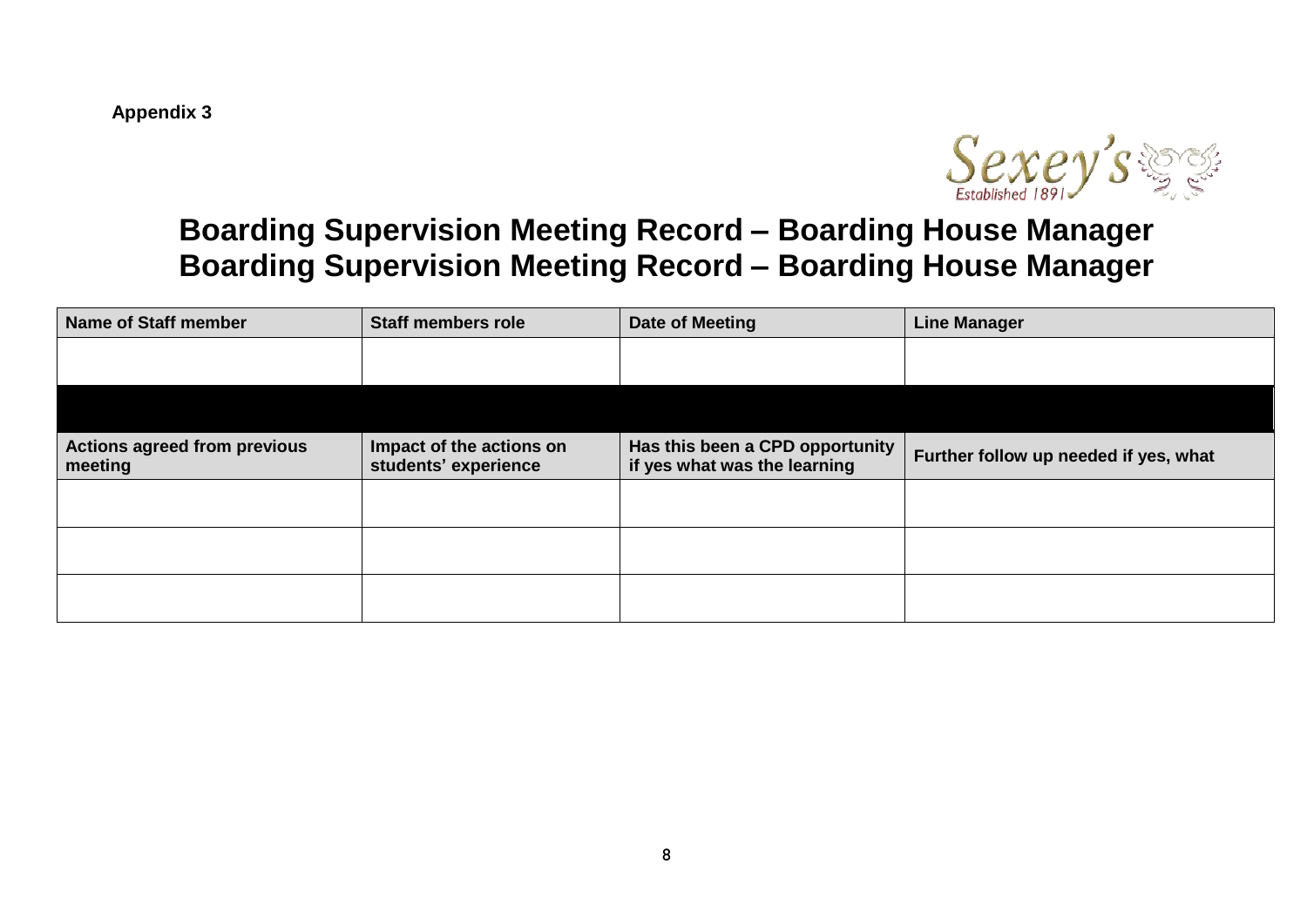**Appendix 3**



## **Boarding Supervision Meeting Record – Boarding House Manager Boarding Supervision Meeting Record – Boarding House Manager**

| <b>Name of Staff member</b>                    | <b>Staff members role</b>                        | Date of Meeting                                                 | <b>Line Manager</b>                   |
|------------------------------------------------|--------------------------------------------------|-----------------------------------------------------------------|---------------------------------------|
|                                                |                                                  |                                                                 |                                       |
|                                                |                                                  |                                                                 |                                       |
| <b>Actions agreed from previous</b><br>meeting | Impact of the actions on<br>students' experience | Has this been a CPD opportunity<br>if yes what was the learning | Further follow up needed if yes, what |
|                                                |                                                  |                                                                 |                                       |
|                                                |                                                  |                                                                 |                                       |
|                                                |                                                  |                                                                 |                                       |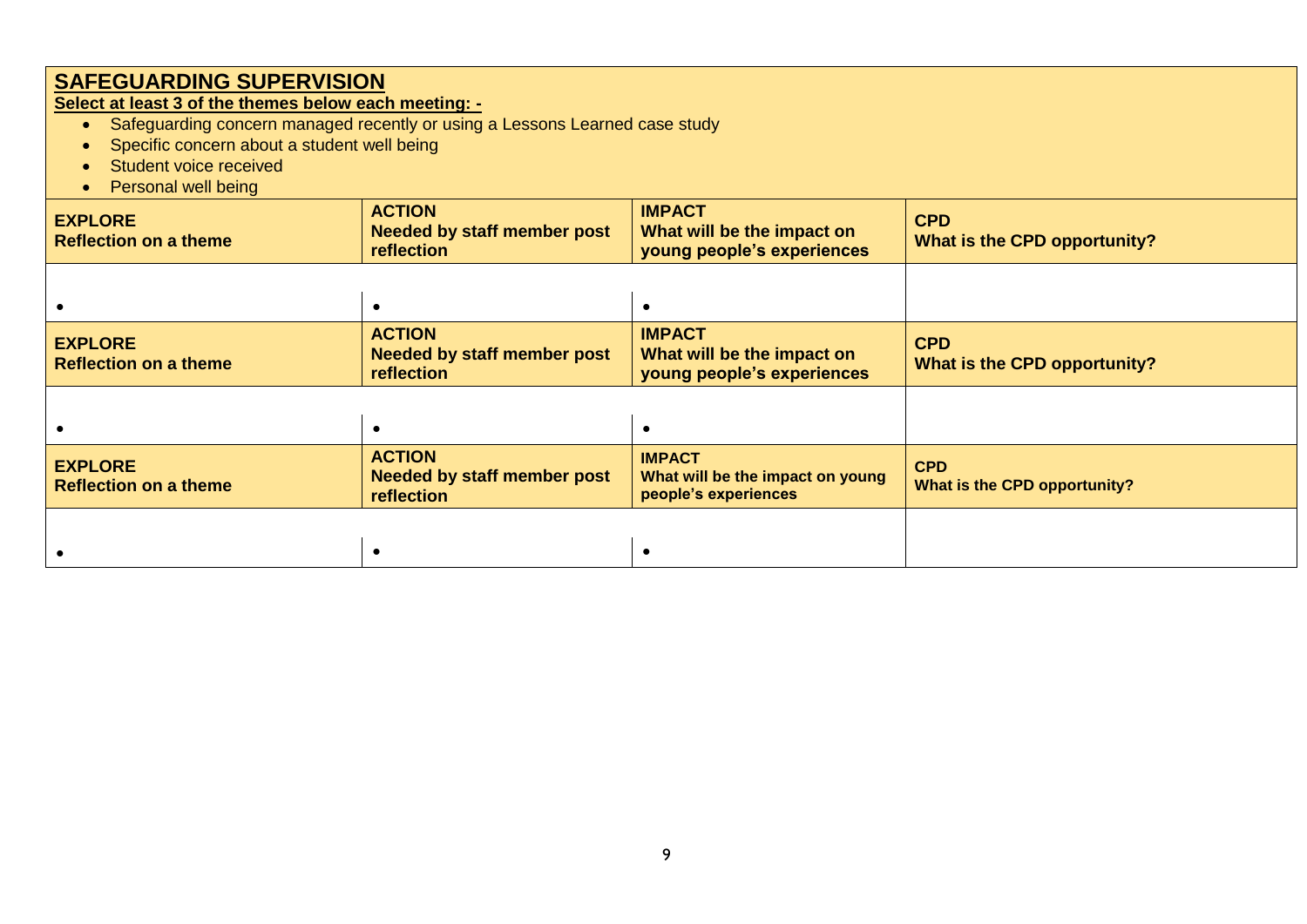**Select at least 3 of the themes below each meeting: -**

- Safeguarding concern managed recently or using a Lessons Learned case study
- Specific concern about a student well being
- Student voice received
- Personal well being

| <b>EXPLORE</b><br><b>Reflection on a theme</b> | <b>ACTION</b><br><b>Needed by staff member post</b><br>reflection | <b>IMPACT</b><br>What will be the impact on<br>young people's experiences | <b>CPD</b><br>What is the CPD opportunity? |
|------------------------------------------------|-------------------------------------------------------------------|---------------------------------------------------------------------------|--------------------------------------------|
|                                                |                                                                   |                                                                           |                                            |
| <b>EXPLORE</b><br><b>Reflection on a theme</b> | <b>ACTION</b><br><b>Needed by staff member post</b><br>reflection | <b>IMPACT</b><br>What will be the impact on<br>young people's experiences | <b>CPD</b><br>What is the CPD opportunity? |
|                                                |                                                                   |                                                                           |                                            |
| <b>EXPLORE</b><br><b>Reflection on a theme</b> | <b>ACTION</b><br><b>Needed by staff member post</b><br>reflection | <b>IMPACT</b><br>What will be the impact on young<br>people's experiences | <b>CPD</b><br>What is the CPD opportunity? |
|                                                |                                                                   |                                                                           |                                            |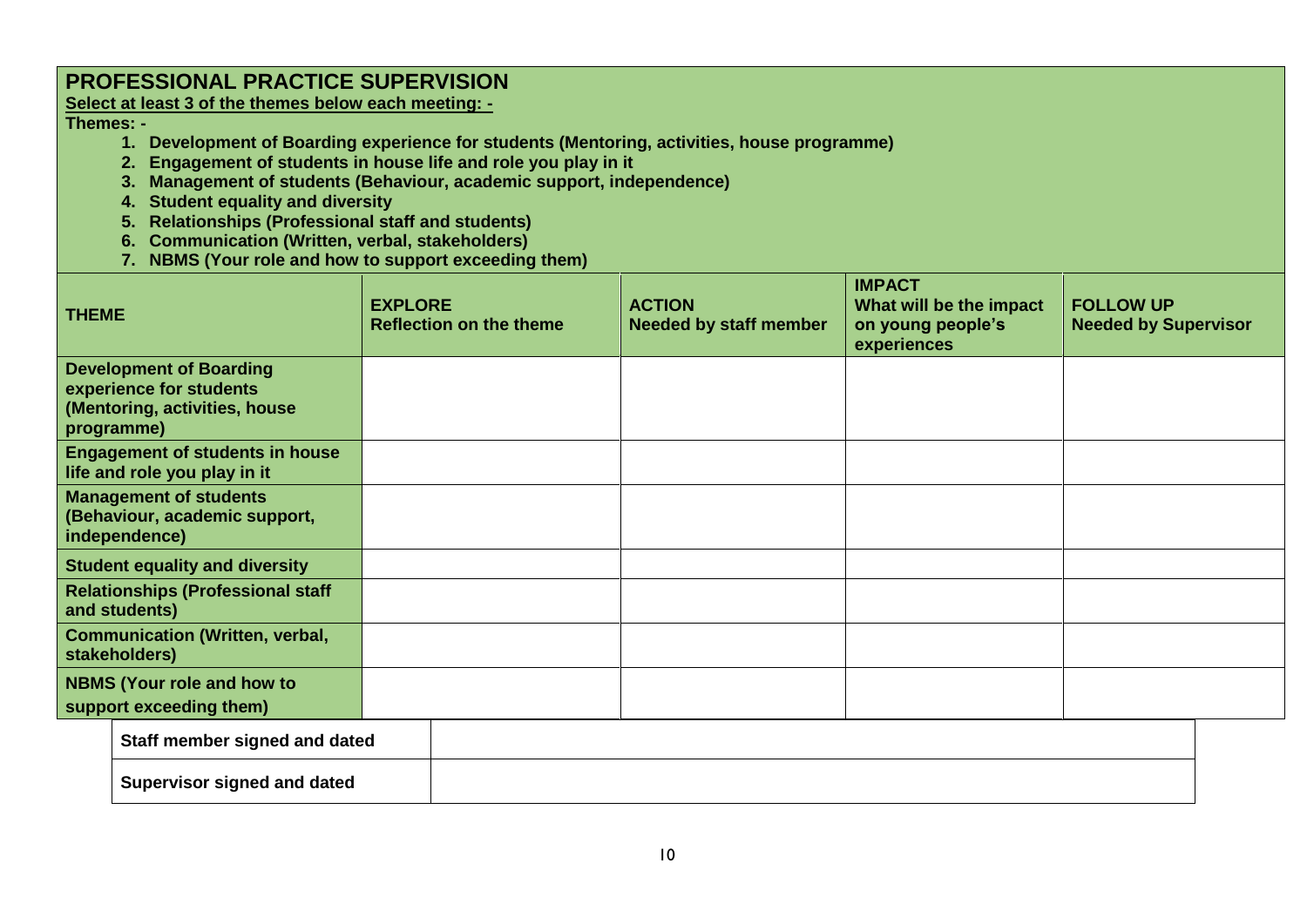### **PROFESSIONAL PRACTICE SUPERVISION**

**Select at least 3 of the themes below each meeting: -**

**Themes: -**

- **1. Development of Boarding experience for students (Mentoring, activities, house programme)**
- **2. Engagement of students in house life and role you play in it**
- **3. Management of students (Behaviour, academic support, independence)**
- **4. Student equality and diversity**
- **5. Relationships (Professional staff and students)**
- **6. Communication (Written, verbal, stakeholders)**
- **7. NBMS (Your role and how to support exceeding them)**

| <b>THEME</b>                                                                                             | <b>EXPLORE</b><br><b>Reflection on the theme</b> | <b>ACTION</b><br><b>Needed by staff member</b> | <b>IMPACT</b><br>What will be the impact<br>on young people's<br>experiences | <b>FOLLOW UP</b><br><b>Needed by Supervisor</b> |
|----------------------------------------------------------------------------------------------------------|--------------------------------------------------|------------------------------------------------|------------------------------------------------------------------------------|-------------------------------------------------|
| <b>Development of Boarding</b><br>experience for students<br>(Mentoring, activities, house<br>programme) |                                                  |                                                |                                                                              |                                                 |
| <b>Engagement of students in house</b><br>life and role you play in it                                   |                                                  |                                                |                                                                              |                                                 |
| <b>Management of students</b><br>(Behaviour, academic support,<br>independence)                          |                                                  |                                                |                                                                              |                                                 |
| <b>Student equality and diversity</b>                                                                    |                                                  |                                                |                                                                              |                                                 |
| <b>Relationships (Professional staff</b><br>and students)                                                |                                                  |                                                |                                                                              |                                                 |
| <b>Communication (Written, verbal,</b><br>stakeholders)                                                  |                                                  |                                                |                                                                              |                                                 |
| <b>NBMS (Your role and how to</b><br>support exceeding them)                                             |                                                  |                                                |                                                                              |                                                 |
|                                                                                                          |                                                  |                                                |                                                                              |                                                 |

| Staff member signed and dated      |  |
|------------------------------------|--|
| <b>Supervisor signed and dated</b> |  |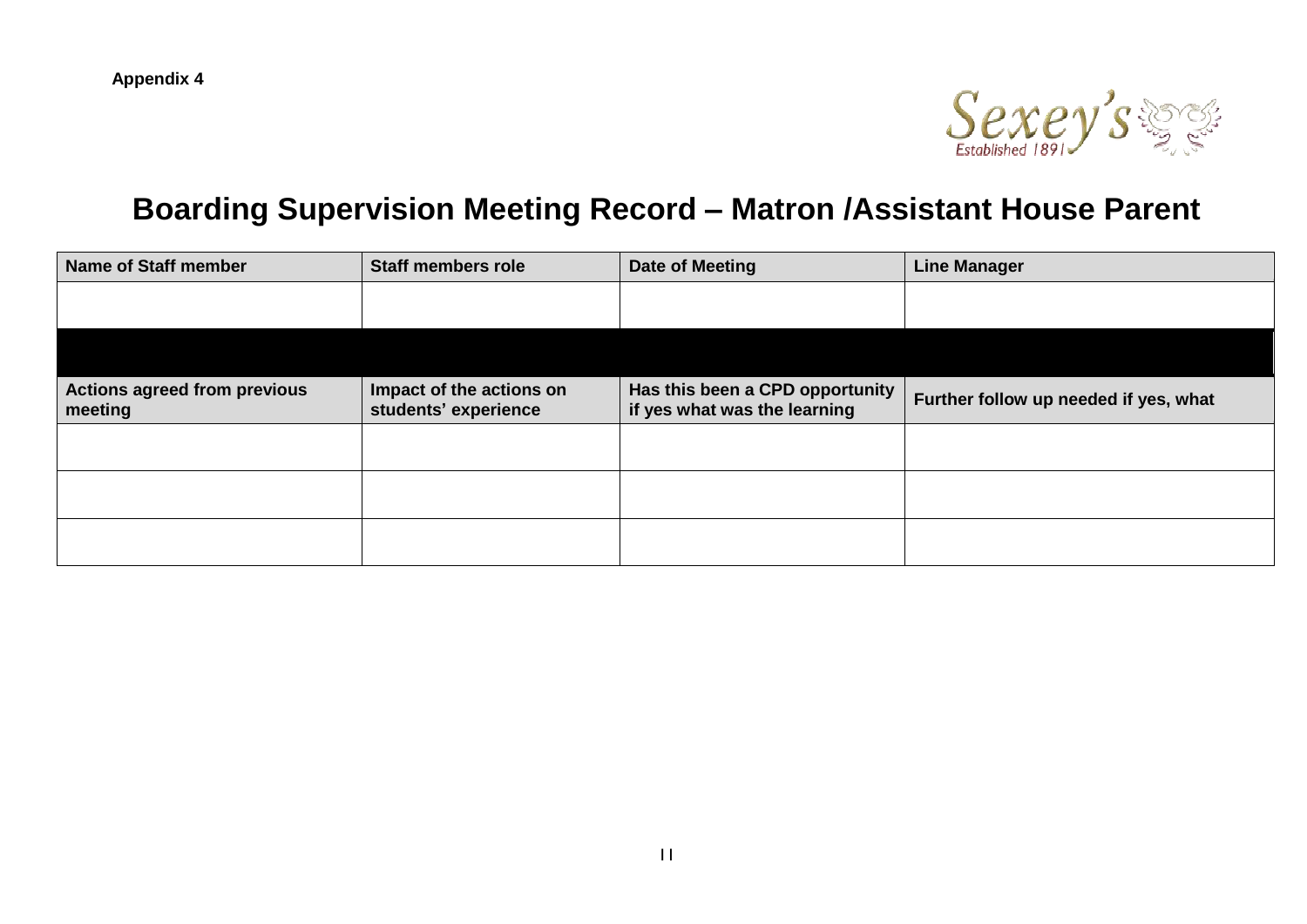

## **Boarding Supervision Meeting Record – Matron /Assistant House Parent**

| Name of Staff member                           | <b>Staff members role</b>                        | Date of Meeting                                                 | <b>Line Manager</b>                   |
|------------------------------------------------|--------------------------------------------------|-----------------------------------------------------------------|---------------------------------------|
|                                                |                                                  |                                                                 |                                       |
|                                                |                                                  |                                                                 |                                       |
| <b>Actions agreed from previous</b><br>meeting | Impact of the actions on<br>students' experience | Has this been a CPD opportunity<br>if yes what was the learning | Further follow up needed if yes, what |
|                                                |                                                  |                                                                 |                                       |
|                                                |                                                  |                                                                 |                                       |
|                                                |                                                  |                                                                 |                                       |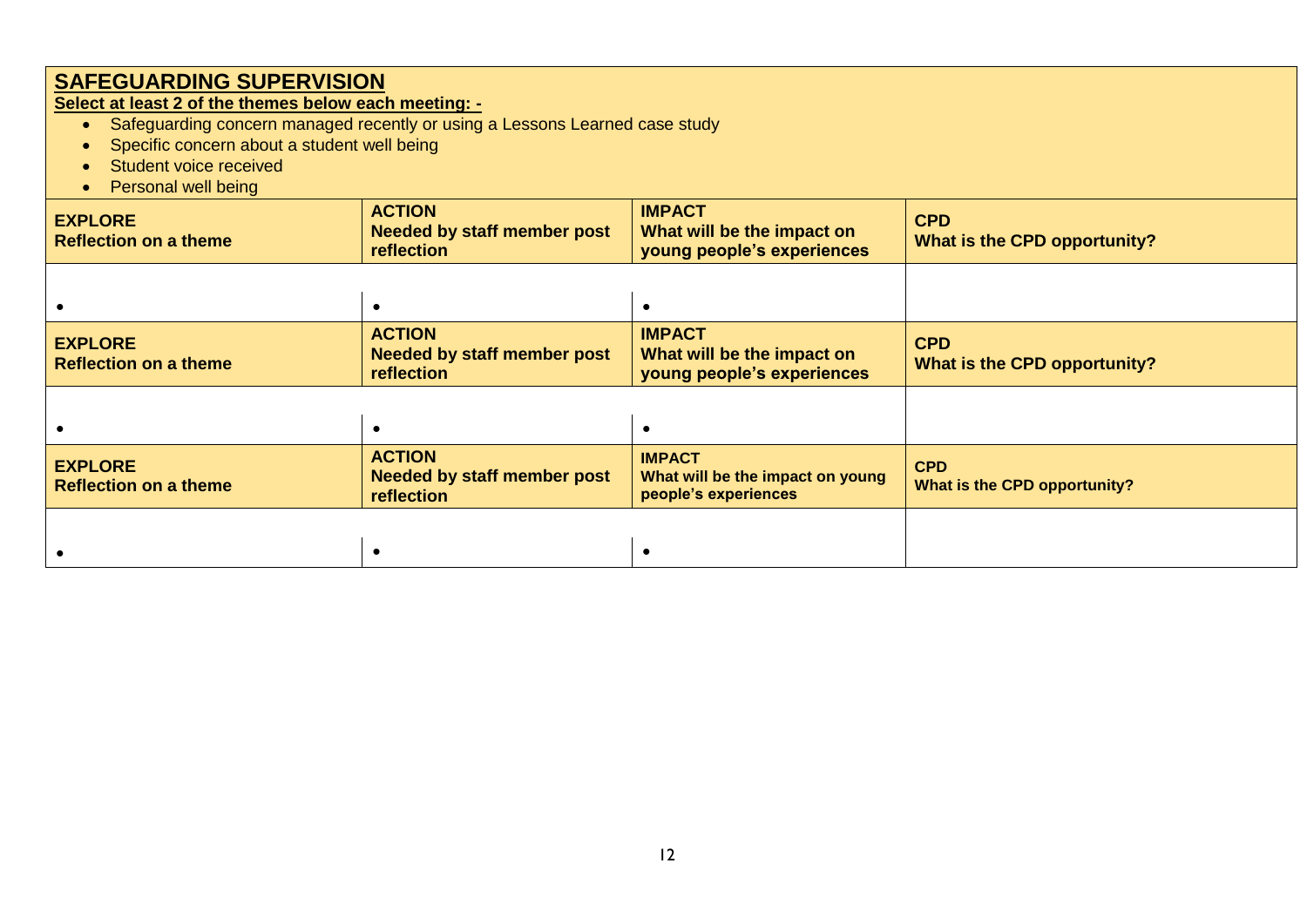**Select at least 2 of the themes below each meeting: -**

- Safeguarding concern managed recently or using a Lessons Learned case study
- Specific concern about a student well being
- Student voice received
- Personal well being

| <b>EXPLORE</b><br><b>Reflection on a theme</b> | <b>ACTION</b><br><b>Needed by staff member post</b><br>reflection | <b>IMPACT</b><br>What will be the impact on<br>young people's experiences | <b>CPD</b><br>What is the CPD opportunity? |
|------------------------------------------------|-------------------------------------------------------------------|---------------------------------------------------------------------------|--------------------------------------------|
|                                                |                                                                   |                                                                           |                                            |
| <b>EXPLORE</b><br><b>Reflection on a theme</b> | <b>ACTION</b><br><b>Needed by staff member post</b><br>reflection | <b>IMPACT</b><br>What will be the impact on<br>young people's experiences | <b>CPD</b><br>What is the CPD opportunity? |
|                                                |                                                                   |                                                                           |                                            |
| <b>EXPLORE</b><br><b>Reflection on a theme</b> | <b>ACTION</b><br><b>Needed by staff member post</b><br>reflection | <b>IMPACT</b><br>What will be the impact on young<br>people's experiences | <b>CPD</b><br>What is the CPD opportunity? |
|                                                |                                                                   |                                                                           |                                            |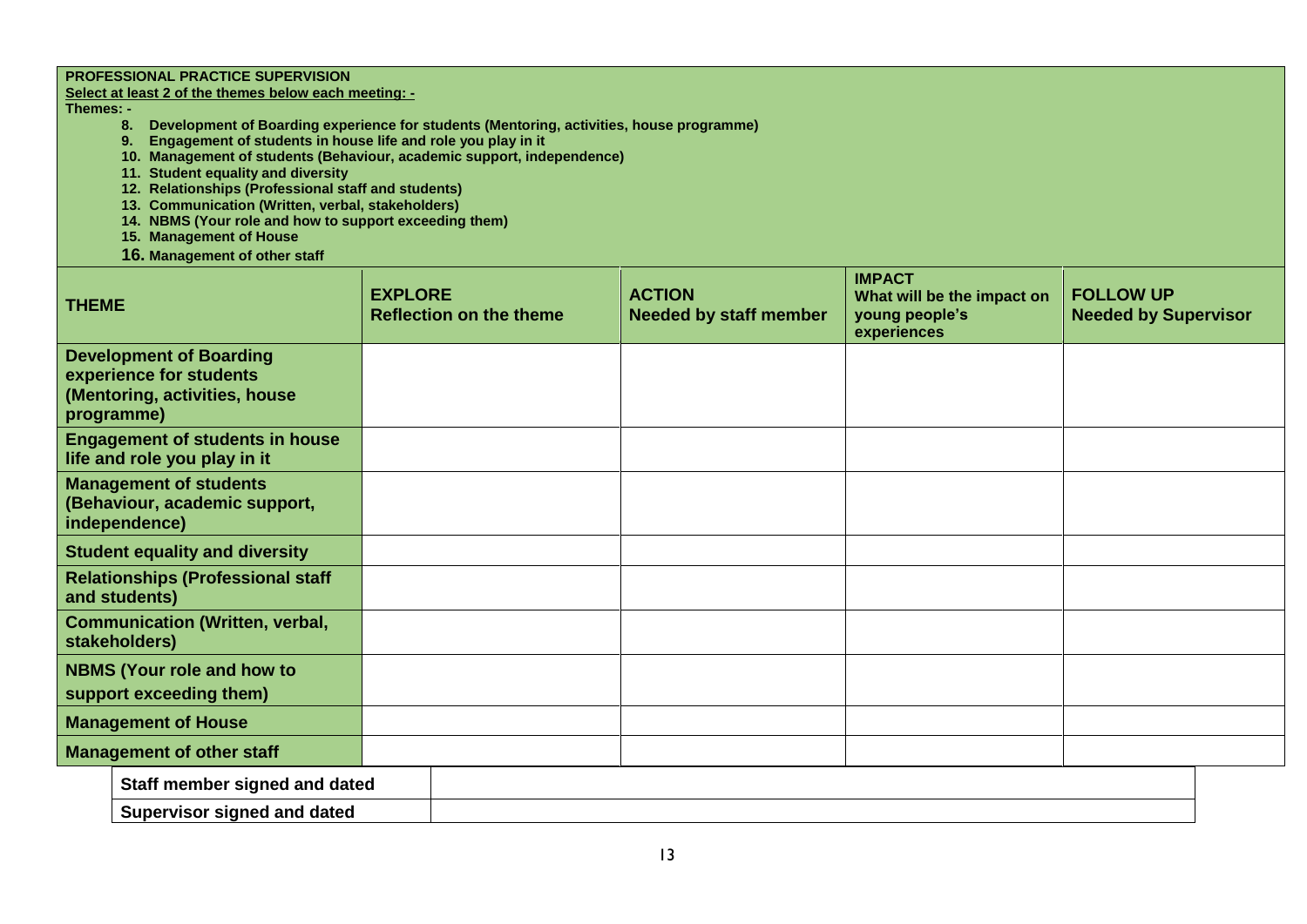#### **PROFESSIONAL PRACTICE SUPERVISION**

#### **Select at least 2 of the themes below each meeting: -**

#### **Themes: -**

- **8. Development of Boarding experience for students (Mentoring, activities, house programme)**
- **9. Engagement of students in house life and role you play in it**
- **10. Management of students (Behaviour, academic support, independence)**
- **11. Student equality and diversity**
- **12. Relationships (Professional staff and students)**
- **13. Communication (Written, verbal, stakeholders)**
- **14. NBMS (Your role and how to support exceeding them)**
- **15. Management of House**
- **16. Management of other staff**

| <b>THEME</b>                                                                                             | <b>EXPLORE</b><br><b>Reflection on the theme</b> | <b>ACTION</b><br><b>Needed by staff member</b> | <b>IMPACT</b><br>What will be the impact on<br>young people's<br>experiences | <b>FOLLOW UP</b><br><b>Needed by Supervisor</b> |
|----------------------------------------------------------------------------------------------------------|--------------------------------------------------|------------------------------------------------|------------------------------------------------------------------------------|-------------------------------------------------|
| <b>Development of Boarding</b><br>experience for students<br>(Mentoring, activities, house<br>programme) |                                                  |                                                |                                                                              |                                                 |
| <b>Engagement of students in house</b><br>life and role you play in it                                   |                                                  |                                                |                                                                              |                                                 |
| <b>Management of students</b><br>(Behaviour, academic support,<br>independence)                          |                                                  |                                                |                                                                              |                                                 |
| <b>Student equality and diversity</b>                                                                    |                                                  |                                                |                                                                              |                                                 |
| <b>Relationships (Professional staff</b><br>and students)                                                |                                                  |                                                |                                                                              |                                                 |
| <b>Communication (Written, verbal,</b><br>stakeholders)                                                  |                                                  |                                                |                                                                              |                                                 |
| <b>NBMS (Your role and how to</b><br>support exceeding them)                                             |                                                  |                                                |                                                                              |                                                 |
| <b>Management of House</b>                                                                               |                                                  |                                                |                                                                              |                                                 |
| <b>Management of other staff</b>                                                                         |                                                  |                                                |                                                                              |                                                 |
| Staff member signed and dated                                                                            |                                                  |                                                |                                                                              |                                                 |
| <b>Supervisor signed and dated</b>                                                                       |                                                  |                                                |                                                                              |                                                 |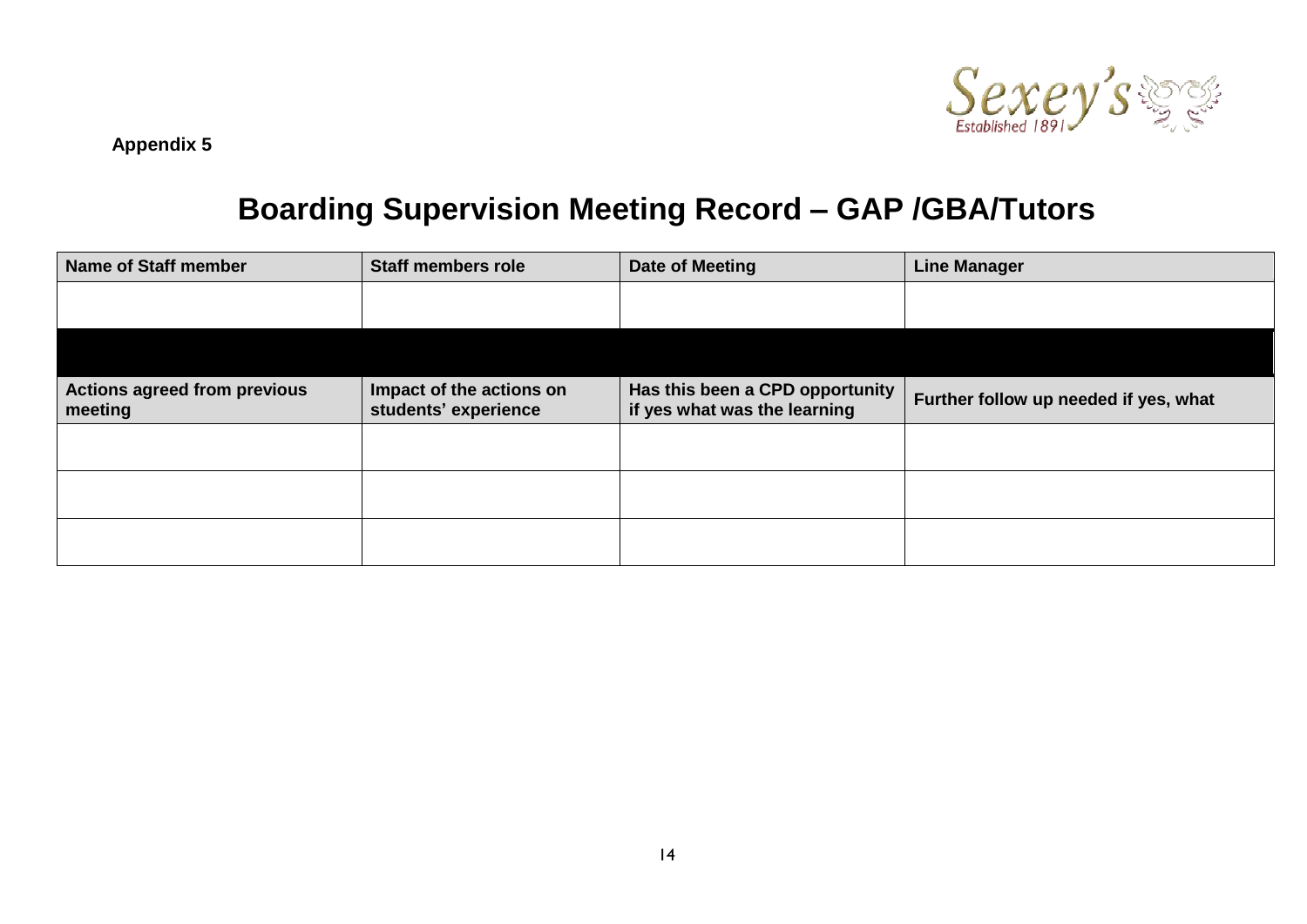

## **Boarding Supervision Meeting Record – GAP /GBA/Tutors**

| <b>Name of Staff member</b>                    | <b>Staff members role</b>                        | <b>Date of Meeting</b>                                          | <b>Line Manager</b>                   |
|------------------------------------------------|--------------------------------------------------|-----------------------------------------------------------------|---------------------------------------|
|                                                |                                                  |                                                                 |                                       |
|                                                |                                                  |                                                                 |                                       |
| <b>Actions agreed from previous</b><br>meeting | Impact of the actions on<br>students' experience | Has this been a CPD opportunity<br>if yes what was the learning | Further follow up needed if yes, what |
|                                                |                                                  |                                                                 |                                       |
|                                                |                                                  |                                                                 |                                       |
|                                                |                                                  |                                                                 |                                       |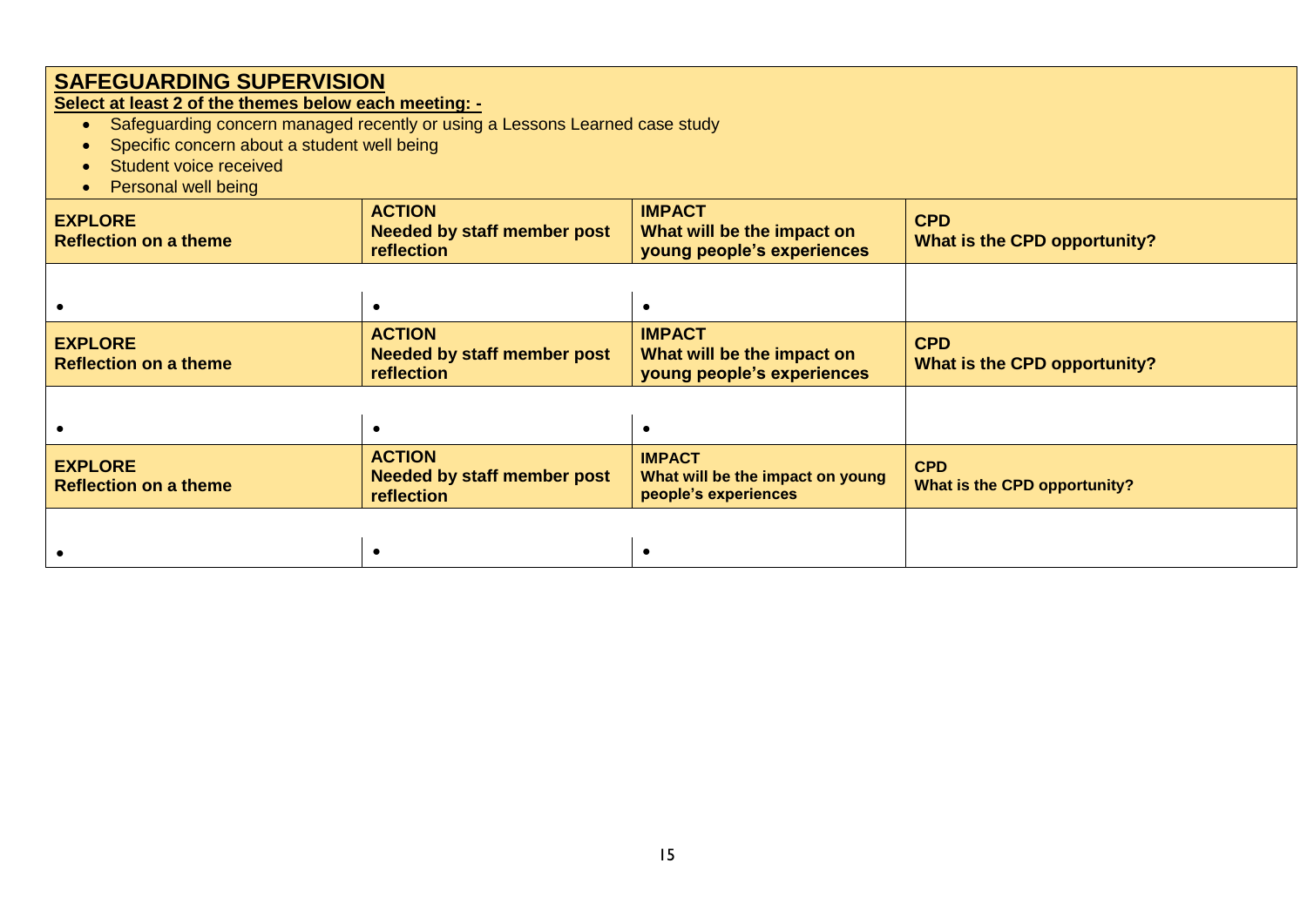**Select at least 2 of the themes below each meeting: -**

- Safeguarding concern managed recently or using a Lessons Learned case study
- Specific concern about a student well being
- Student voice received
- Personal well being

| <b>EXPLORE</b><br><b>Reflection on a theme</b> | <b>ACTION</b><br><b>Needed by staff member post</b><br>reflection | <b>IMPACT</b><br>What will be the impact on<br>young people's experiences | <b>CPD</b><br>What is the CPD opportunity? |
|------------------------------------------------|-------------------------------------------------------------------|---------------------------------------------------------------------------|--------------------------------------------|
|                                                |                                                                   |                                                                           |                                            |
| <b>EXPLORE</b><br><b>Reflection on a theme</b> | <b>ACTION</b><br><b>Needed by staff member post</b><br>reflection | <b>IMPACT</b><br>What will be the impact on<br>young people's experiences | <b>CPD</b><br>What is the CPD opportunity? |
|                                                |                                                                   |                                                                           |                                            |
| <b>EXPLORE</b><br><b>Reflection on a theme</b> | <b>ACTION</b><br><b>Needed by staff member post</b><br>reflection | <b>IMPACT</b><br>What will be the impact on young<br>people's experiences | <b>CPD</b><br>What is the CPD opportunity? |
|                                                |                                                                   |                                                                           |                                            |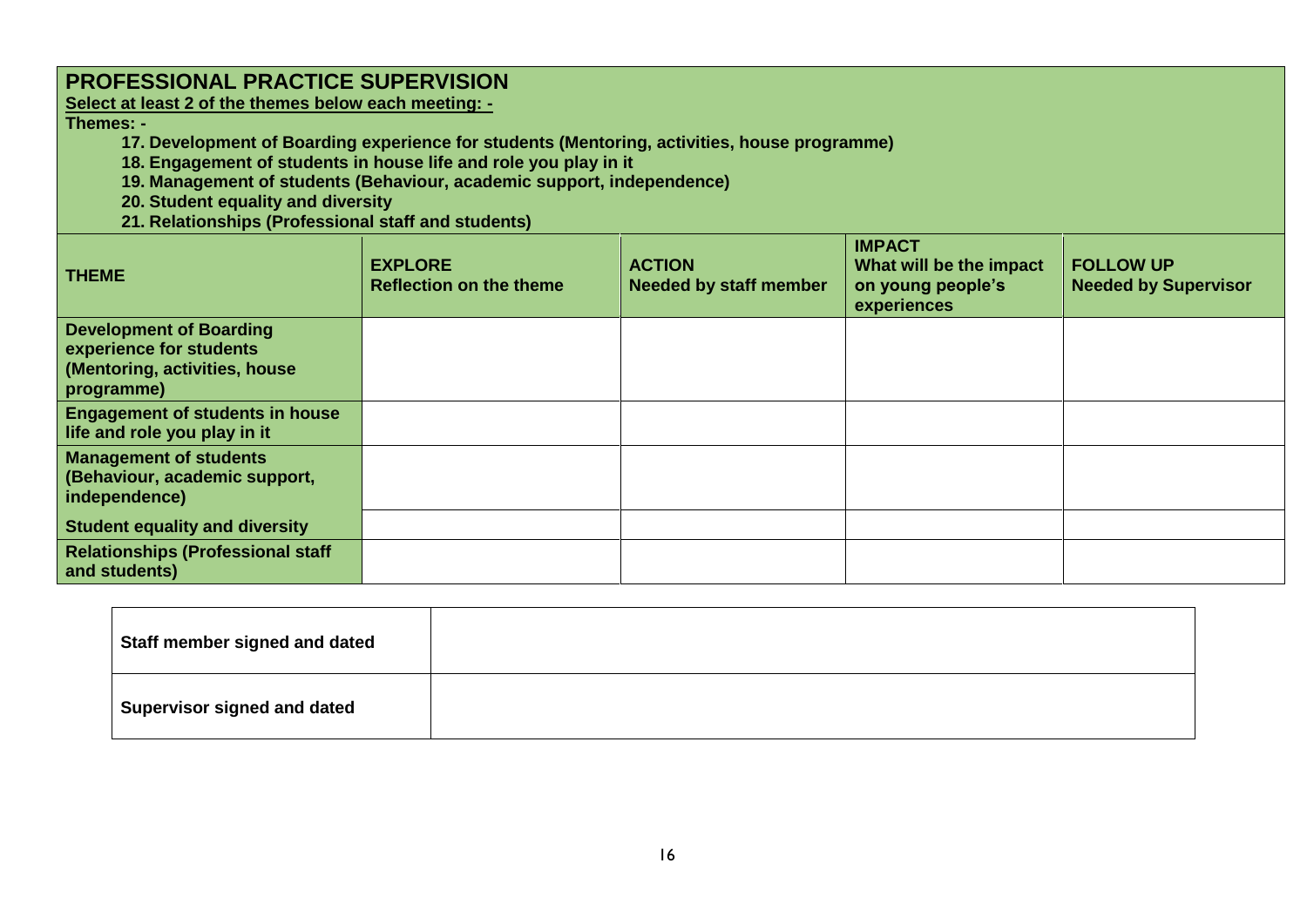### **PROFESSIONAL PRACTICE SUPERVISION**

**Select at least 2 of the themes below each meeting: -**

**Themes: -**

- **17. Development of Boarding experience for students (Mentoring, activities, house programme)**
- **18. Engagement of students in house life and role you play in it**
- **19. Management of students (Behaviour, academic support, independence)**
- **20. Student equality and diversity**
- **21. Relationships (Professional staff and students)**

| <b>THEME</b>                                                                                             | <b>EXPLORE</b><br><b>Reflection on the theme</b> | <b>ACTION</b><br><b>Needed by staff member</b> | <b>IMPACT</b><br>What will be the impact<br>on young people's<br>experiences | <b>FOLLOW UP</b><br><b>Needed by Supervisor</b> |
|----------------------------------------------------------------------------------------------------------|--------------------------------------------------|------------------------------------------------|------------------------------------------------------------------------------|-------------------------------------------------|
| <b>Development of Boarding</b><br>experience for students<br>(Mentoring, activities, house<br>programme) |                                                  |                                                |                                                                              |                                                 |
| <b>Engagement of students in house</b><br>life and role you play in it                                   |                                                  |                                                |                                                                              |                                                 |
| <b>Management of students</b><br>(Behaviour, academic support,<br>independence)                          |                                                  |                                                |                                                                              |                                                 |
| <b>Student equality and diversity</b>                                                                    |                                                  |                                                |                                                                              |                                                 |
| <b>Relationships (Professional staff</b><br>and students)                                                |                                                  |                                                |                                                                              |                                                 |

| Staff member signed and dated      |  |
|------------------------------------|--|
| <b>Supervisor signed and dated</b> |  |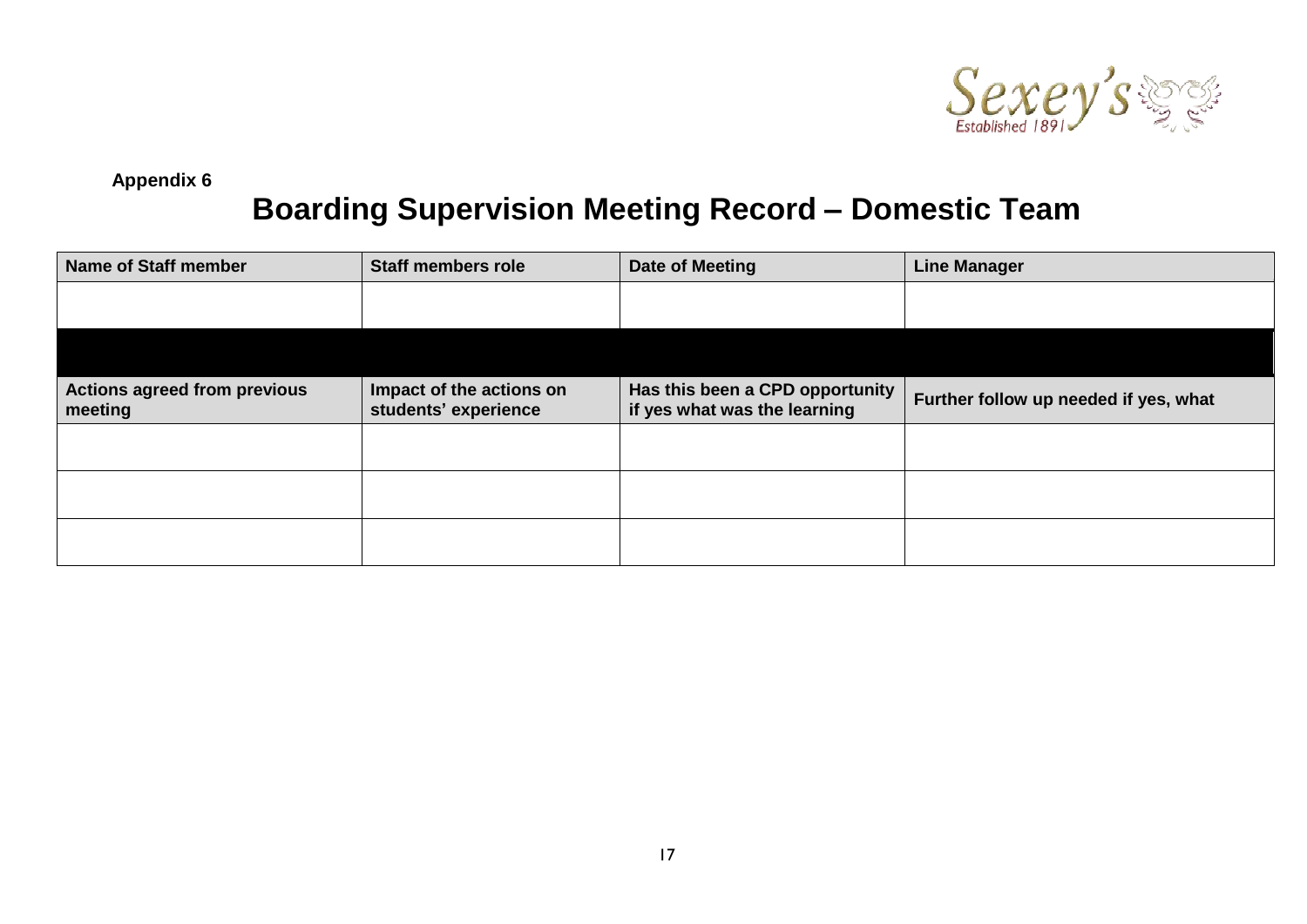

**Appendix 6**

## **Boarding Supervision Meeting Record – Domestic Team**

| <b>Name of Staff member</b>             | <b>Staff members role</b>                        | Date of Meeting                                                 | <b>Line Manager</b>                   |
|-----------------------------------------|--------------------------------------------------|-----------------------------------------------------------------|---------------------------------------|
|                                         |                                                  |                                                                 |                                       |
|                                         |                                                  |                                                                 |                                       |
| Actions agreed from previous<br>meeting | Impact of the actions on<br>students' experience | Has this been a CPD opportunity<br>if yes what was the learning | Further follow up needed if yes, what |
|                                         |                                                  |                                                                 |                                       |
|                                         |                                                  |                                                                 |                                       |
|                                         |                                                  |                                                                 |                                       |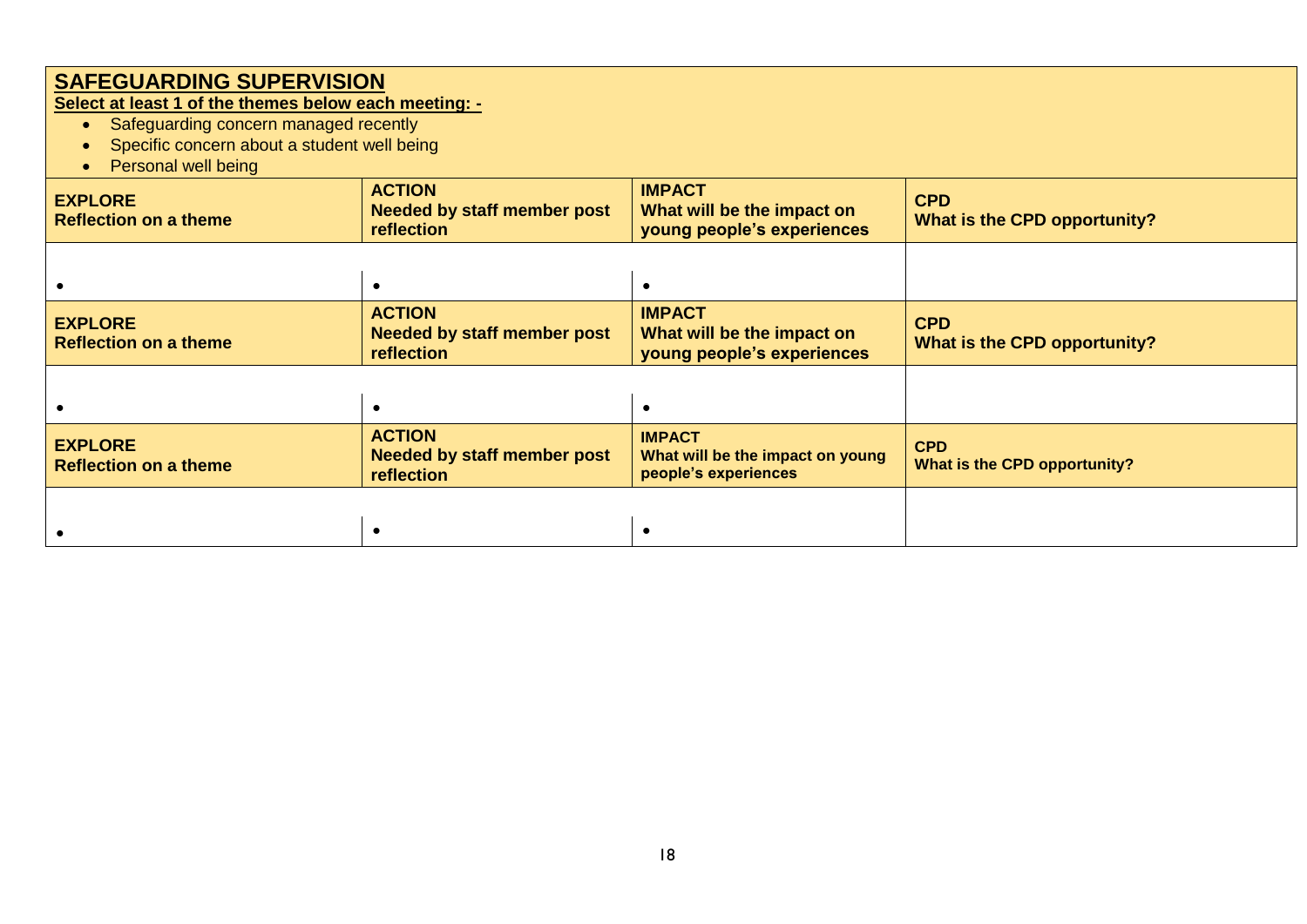**Select at least 1 of the themes below each meeting: -**

- **•** Safeguarding concern managed recently
- Specific concern about a student well being
- Personal well being

| $1$ order at $100$ $100$ $100$                 |                                                                   |                                                                           |                                            |  |
|------------------------------------------------|-------------------------------------------------------------------|---------------------------------------------------------------------------|--------------------------------------------|--|
| <b>EXPLORE</b><br><b>Reflection on a theme</b> | <b>ACTION</b><br><b>Needed by staff member post</b><br>reflection | <b>IMPACT</b><br>What will be the impact on<br>young people's experiences | <b>CPD</b><br>What is the CPD opportunity? |  |
|                                                |                                                                   |                                                                           |                                            |  |
| <b>EXPLORE</b><br><b>Reflection on a theme</b> | <b>ACTION</b><br><b>Needed by staff member post</b><br>reflection | <b>IMPACT</b><br>What will be the impact on<br>young people's experiences | <b>CPD</b><br>What is the CPD opportunity? |  |
|                                                |                                                                   |                                                                           |                                            |  |
| <b>EXPLORE</b><br><b>Reflection on a theme</b> | <b>ACTION</b><br><b>Needed by staff member post</b><br>reflection | <b>IMPACT</b><br>What will be the impact on young<br>people's experiences | <b>CPD</b><br>What is the CPD opportunity? |  |
|                                                |                                                                   |                                                                           |                                            |  |